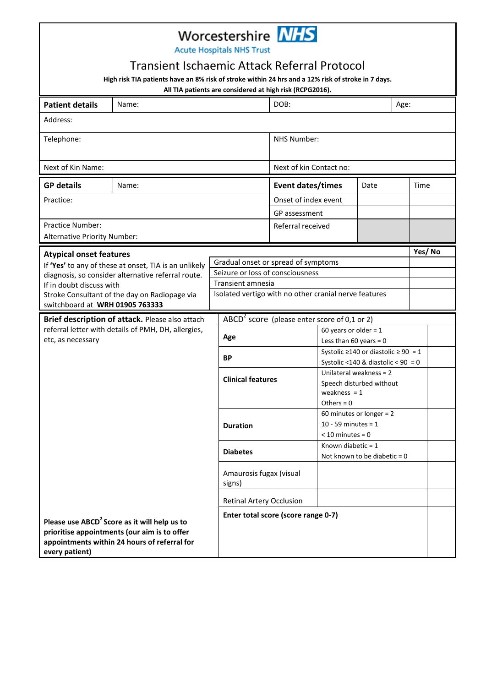|                                                                                                              |                                                                                                                                                          | Worcestershire <b>NHS</b>                             |                                                |                                                                            |              |        |  |
|--------------------------------------------------------------------------------------------------------------|----------------------------------------------------------------------------------------------------------------------------------------------------------|-------------------------------------------------------|------------------------------------------------|----------------------------------------------------------------------------|--------------|--------|--|
|                                                                                                              |                                                                                                                                                          | <b>Acute Hospitals NHS Trust</b>                      |                                                |                                                                            |              |        |  |
|                                                                                                              | <b>Transient Ischaemic Attack Referral Protocol</b>                                                                                                      |                                                       |                                                |                                                                            |              |        |  |
|                                                                                                              | High risk TIA patients have an 8% risk of stroke within 24 hrs and a 12% risk of stroke in 7 days.                                                       |                                                       |                                                |                                                                            |              |        |  |
| All TIA patients are considered at high risk (RCPG2016).<br><b>Patient details</b><br>Name:                  |                                                                                                                                                          | DOB:                                                  |                                                |                                                                            | Age:         |        |  |
| Address:                                                                                                     |                                                                                                                                                          |                                                       |                                                |                                                                            |              |        |  |
| Telephone:                                                                                                   |                                                                                                                                                          | <b>NHS Number:</b>                                    |                                                |                                                                            |              |        |  |
|                                                                                                              |                                                                                                                                                          |                                                       |                                                |                                                                            |              |        |  |
| Next of Kin Name:                                                                                            |                                                                                                                                                          |                                                       | Next of kin Contact no:                        |                                                                            |              |        |  |
| <b>GP details</b>                                                                                            | Name:                                                                                                                                                    |                                                       | <b>Event dates/times</b>                       |                                                                            | Date<br>Time |        |  |
| Practice:                                                                                                    |                                                                                                                                                          |                                                       | Onset of index event                           |                                                                            |              |        |  |
|                                                                                                              |                                                                                                                                                          |                                                       | GP assessment                                  |                                                                            |              |        |  |
| <b>Practice Number:</b><br>Alternative Priority Number:                                                      |                                                                                                                                                          |                                                       | Referral received                              |                                                                            |              |        |  |
|                                                                                                              |                                                                                                                                                          |                                                       |                                                |                                                                            |              | Yes/No |  |
| <b>Atypical onset features</b>                                                                               | If 'Yes' to any of these at onset, TIA is an unlikely                                                                                                    | Gradual onset or spread of symptoms                   |                                                |                                                                            |              |        |  |
|                                                                                                              | diagnosis, so consider alternative referral route.                                                                                                       | Seizure or loss of consciousness                      |                                                |                                                                            |              |        |  |
| If in doubt discuss with<br>Stroke Consultant of the day on Radiopage via<br>switchboard at WRH 01905 763333 |                                                                                                                                                          |                                                       | Transient amnesia                              |                                                                            |              |        |  |
|                                                                                                              |                                                                                                                                                          | Isolated vertigo with no other cranial nerve features |                                                |                                                                            |              |        |  |
|                                                                                                              | Brief description of attack. Please also attach                                                                                                          |                                                       | $ABCD2$ score (please enter score of 0,1 or 2) |                                                                            |              |        |  |
| referral letter with details of PMH, DH, allergies,<br>etc, as necessary                                     |                                                                                                                                                          | Age                                                   |                                                | 60 years or older = $1$                                                    |              |        |  |
|                                                                                                              |                                                                                                                                                          |                                                       |                                                | Less than 60 years = $0$<br>Systolic $\geq$ 140 or diastolic $\geq$ 90 = 1 |              |        |  |
|                                                                                                              |                                                                                                                                                          | <b>BP</b>                                             |                                                | Systolic <140 & diastolic < $90 = 0$                                       |              |        |  |
|                                                                                                              |                                                                                                                                                          | <b>Clinical features</b>                              |                                                | Unilateral weakness = 2                                                    |              |        |  |
|                                                                                                              |                                                                                                                                                          |                                                       |                                                | Speech disturbed without<br>weakness $= 1$                                 |              |        |  |
|                                                                                                              |                                                                                                                                                          |                                                       |                                                | Others = $0$                                                               |              |        |  |
|                                                                                                              |                                                                                                                                                          | <b>Duration</b><br><b>Diabetes</b>                    |                                                | 60 minutes or longer = $2$                                                 |              |        |  |
|                                                                                                              |                                                                                                                                                          |                                                       |                                                | 10 - 59 minutes = $1$<br>$<$ 10 minutes = 0                                |              |        |  |
|                                                                                                              |                                                                                                                                                          |                                                       |                                                | Known diabetic = $1$                                                       |              |        |  |
|                                                                                                              |                                                                                                                                                          |                                                       |                                                | Not known to be diabetic = $0$                                             |              |        |  |
|                                                                                                              |                                                                                                                                                          | Amaurosis fugax (visual<br>signs)                     |                                                |                                                                            |              |        |  |
|                                                                                                              |                                                                                                                                                          | <b>Retinal Artery Occlusion</b>                       |                                                |                                                                            |              |        |  |
| every patient)                                                                                               | Please use ABCD <sup>2</sup> Score as it will help us to<br>prioritise appointments (our aim is to offer<br>appointments within 24 hours of referral for |                                                       | Enter total score (score range 0-7)            |                                                                            |              |        |  |